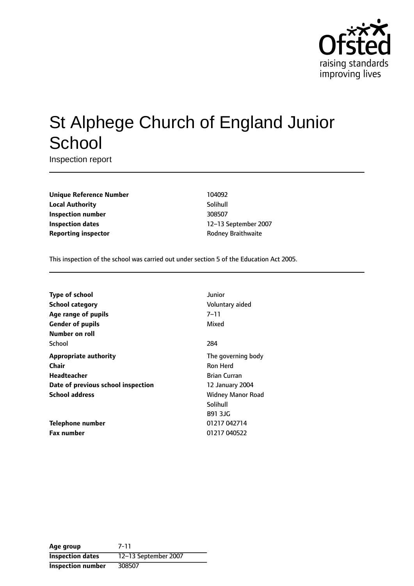

# St Alphege Church of England Junior **School**

Inspection report

**Unique Reference Number** 104092 **Local Authority** Solihull **Inspection number** 308507 **Inspection dates** 12-13 September 2007 **Reporting inspector CONFIDENTIAL RODER** Rodney Braithwaite

This inspection of the school was carried out under section 5 of the Education Act 2005.

| <b>Type of school</b>              | Junior                   |
|------------------------------------|--------------------------|
| School category                    | Voluntary aided          |
| Age range of pupils                | 7–11                     |
| <b>Gender of pupils</b>            | Mixed                    |
| Number on roll                     |                          |
| School                             | 284                      |
| <b>Appropriate authority</b>       | The governing body       |
| Chair                              | <b>Ron Herd</b>          |
| <b>Headteacher</b>                 | <b>Brian Curran</b>      |
| Date of previous school inspection | 12 January 2004          |
| <b>School address</b>              | <b>Widney Manor Road</b> |
|                                    | Solihull                 |
|                                    | <b>B91 3JG</b>           |
| Telephone number                   | 01217 042714             |
| <b>Fax number</b>                  | 01217 040522             |

**Age group** 7-11 **Inspection dates** 12-13 September 2007 **Inspection number** 308507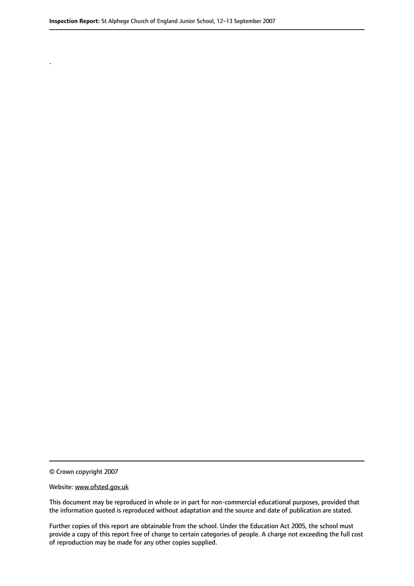© Crown copyright 2007

.

#### Website: www.ofsted.gov.uk

This document may be reproduced in whole or in part for non-commercial educational purposes, provided that the information quoted is reproduced without adaptation and the source and date of publication are stated.

Further copies of this report are obtainable from the school. Under the Education Act 2005, the school must provide a copy of this report free of charge to certain categories of people. A charge not exceeding the full cost of reproduction may be made for any other copies supplied.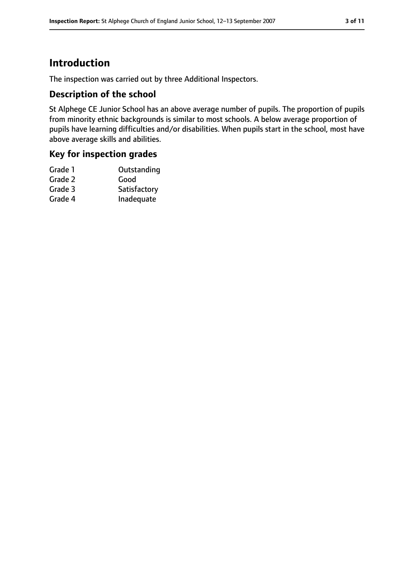# **Introduction**

The inspection was carried out by three Additional Inspectors.

#### **Description of the school**

St Alphege CE Junior School has an above average number of pupils. The proportion of pupils from minority ethnic backgrounds is similar to most schools. A below average proportion of pupils have learning difficulties and/or disabilities. When pupils start in the school, most have above average skills and abilities.

#### **Key for inspection grades**

| Grade 1 | Outstanding  |
|---------|--------------|
| Grade 2 | Good         |
| Grade 3 | Satisfactory |
| Grade 4 | Inadequate   |
|         |              |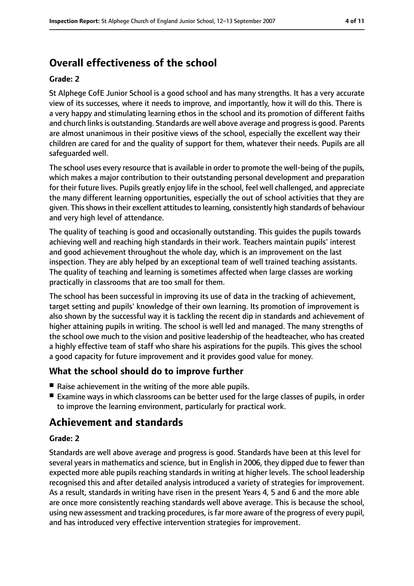# **Overall effectiveness of the school**

#### **Grade: 2**

St Alphege CofE Junior School is a good school and has many strengths. It has a very accurate view of its successes, where it needs to improve, and importantly, how it will do this. There is a very happy and stimulating learning ethos in the school and its promotion of different faiths and church links is outstanding. Standards are well above average and progress is good. Parents are almost unanimous in their positive views of the school, especially the excellent way their children are cared for and the quality of support for them, whatever their needs. Pupils are all safeguarded well.

The school uses every resource that is available in order to promote the well-being of the pupils, which makes a major contribution to their outstanding personal development and preparation for their future lives. Pupils greatly enjoy life in the school, feel well challenged, and appreciate the many different learning opportunities, especially the out of school activities that they are given. This shows in their excellent attitudes to learning, consistently high standards of behaviour and very high level of attendance.

The quality of teaching is good and occasionally outstanding. This guides the pupils towards achieving well and reaching high standards in their work. Teachers maintain pupils' interest and good achievement throughout the whole day, which is an improvement on the last inspection. They are ably helped by an exceptional team of well trained teaching assistants. The quality of teaching and learning is sometimes affected when large classes are working practically in classrooms that are too small for them.

The school has been successful in improving its use of data in the tracking of achievement, target setting and pupils' knowledge of their own learning. Its promotion of improvement is also shown by the successful way it is tackling the recent dip in standards and achievement of higher attaining pupils in writing. The school is well led and managed. The many strengths of the school owe much to the vision and positive leadership of the headteacher, who has created a highly effective team of staff who share his aspirations for the pupils. This gives the school a good capacity for future improvement and it provides good value for money.

#### **What the school should do to improve further**

- Raise achievement in the writing of the more able pupils.
- Examine ways in which classrooms can be better used for the large classes of pupils, in order to improve the learning environment, particularly for practical work.

## **Achievement and standards**

#### **Grade: 2**

Standards are well above average and progress is good. Standards have been at this level for several years in mathematics and science, but in English in 2006, they dipped due to fewer than expected more able pupils reaching standards in writing at higher levels. The school leadership recognised this and after detailed analysis introduced a variety of strategies for improvement. As a result, standards in writing have risen in the present Years 4, 5 and 6 and the more able are once more consistently reaching standards well above average. This is because the school, using new assessment and tracking procedures, isfar more aware of the progress of every pupil, and has introduced very effective intervention strategies for improvement.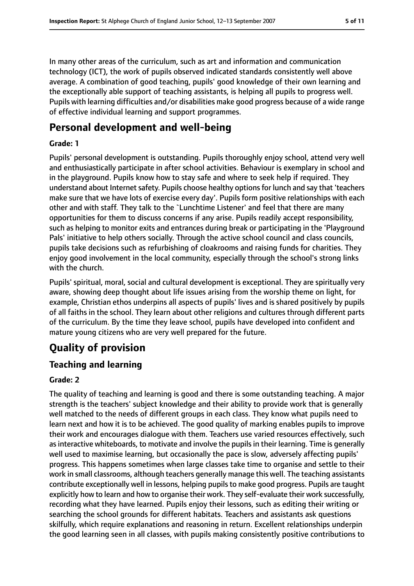In many other areas of the curriculum, such as art and information and communication technology (ICT), the work of pupils observed indicated standards consistently well above average. A combination of good teaching, pupils' good knowledge of their own learning and the exceptionally able support of teaching assistants, is helping all pupils to progress well. Pupils with learning difficulties and/or disabilities make good progress because of a wide range of effective individual learning and support programmes.

# **Personal development and well-being**

#### **Grade: 1**

Pupils' personal development is outstanding. Pupils thoroughly enjoy school, attend very well and enthusiastically participate in after school activities. Behaviour is exemplary in school and in the playground. Pupils know how to stay safe and where to seek help if required. They understand about Internet safety. Pupils choose healthy options for lunch and say that 'teachers make sure that we have lots of exercise every day'. Pupils form positive relationships with each other and with staff. They talk to the `Lunchtime Listener' and feel that there are many opportunities for them to discuss concerns if any arise. Pupils readily accept responsibility, such as helping to monitor exits and entrances during break or participating in the 'Playground Pals' initiative to help others socially. Through the active school council and class councils, pupils take decisions such as refurbishing of cloakrooms and raising funds for charities. They enjoy good involvement in the local community, especially through the school's strong links with the church.

Pupils' spiritual, moral, social and cultural development is exceptional. They are spiritually very aware, showing deep thought about life issues arising from the worship theme on light, for example, Christian ethos underpins all aspects of pupils' lives and is shared positively by pupils of all faiths in the school. They learn about other religions and cultures through different parts of the curriculum. By the time they leave school, pupils have developed into confident and mature young citizens who are very well prepared for the future.

# **Quality of provision**

### **Teaching and learning**

#### **Grade: 2**

The quality of teaching and learning is good and there is some outstanding teaching. A major strength is the teachers' subject knowledge and their ability to provide work that is generally well matched to the needs of different groups in each class. They know what pupils need to learn next and how it is to be achieved. The good quality of marking enables pupils to improve their work and encourages dialogue with them. Teachers use varied resources effectively, such as interactive whiteboards, to motivate and involve the pupils in their learning. Time is generally well used to maximise learning, but occasionally the pace is slow, adversely affecting pupils' progress. This happens sometimes when large classes take time to organise and settle to their work in small classrooms, although teachers generally manage this well. The teaching assistants contribute exceptionally well in lessons, helping pupilsto make good progress. Pupils are taught explicitly how to learn and how to organise their work. They self-evaluate their work successfully, recording what they have learned. Pupils enjoy their lessons, such as editing their writing or searching the school grounds for different habitats. Teachers and assistants ask questions skilfully, which require explanations and reasoning in return. Excellent relationships underpin the good learning seen in all classes, with pupils making consistently positive contributions to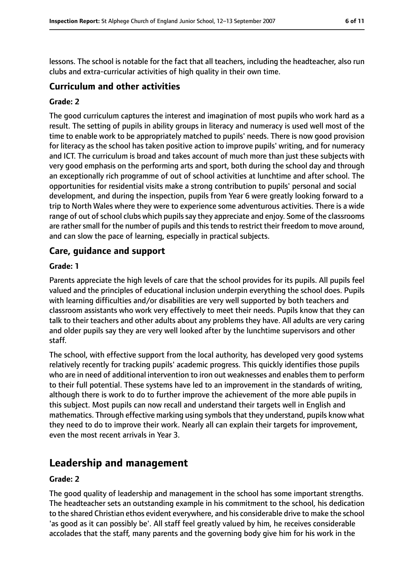lessons. The school is notable for the fact that all teachers, including the headteacher, also run clubs and extra-curricular activities of high quality in their own time.

#### **Curriculum and other activities**

#### **Grade: 2**

The good curriculum captures the interest and imagination of most pupils who work hard as a result. The setting of pupils in ability groups in literacy and numeracy is used well most of the time to enable work to be appropriately matched to pupils' needs. There is now good provision for literacy as the school has taken positive action to improve pupils' writing, and for numeracy and ICT. The curriculum is broad and takes account of much more than just these subjects with very good emphasis on the performing arts and sport, both during the school day and through an exceptionally rich programme of out of school activities at lunchtime and after school. The opportunities for residential visits make a strong contribution to pupils' personal and social development, and during the inspection, pupils from Year 6 were greatly looking forward to a trip to North Wales where they were to experience some adventurous activities. There is a wide range of out of school clubs which pupils say they appreciate and enjoy. Some of the classrooms are rather small for the number of pupils and this tends to restrict their freedom to move around, and can slow the pace of learning, especially in practical subjects.

#### **Care, guidance and support**

#### **Grade: 1**

Parents appreciate the high levels of care that the school provides for its pupils. All pupils feel valued and the principles of educational inclusion underpin everything the school does. Pupils with learning difficulties and/or disabilities are very well supported by both teachers and classroom assistants who work very effectively to meet their needs. Pupils know that they can talk to their teachers and other adults about any problems they have. All adults are very caring and older pupils say they are very well looked after by the lunchtime supervisors and other staff.

The school, with effective support from the local authority, has developed very good systems relatively recently for tracking pupils' academic progress. This quickly identifies those pupils who are in need of additional intervention to iron out weaknesses and enables them to perform to their full potential. These systems have led to an improvement in the standards of writing, although there is work to do to further improve the achievement of the more able pupils in this subject. Most pupils can now recall and understand their targets well in English and mathematics. Through effective marking using symbolsthat they understand, pupils know what they need to do to improve their work. Nearly all can explain their targets for improvement, even the most recent arrivals in Year 3.

### **Leadership and management**

#### **Grade: 2**

The good quality of leadership and management in the school has some important strengths. The headteacher sets an outstanding example in his commitment to the school, his dedication to the shared Christian ethos evident everywhere, and his considerable drive to make the school 'as good as it can possibly be'. All staff feel greatly valued by him, he receives considerable accolades that the staff, many parents and the governing body give him for his work in the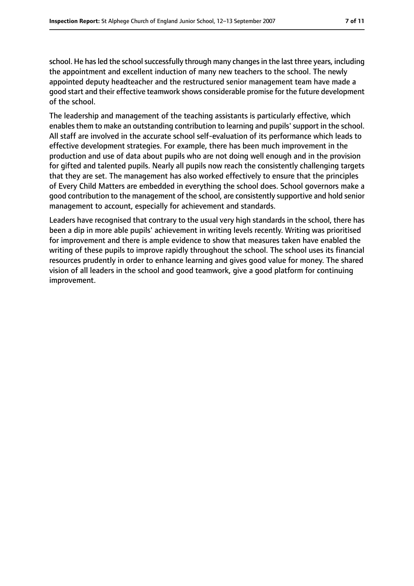school. He has led the school successfully through many changes in the last three years, including the appointment and excellent induction of many new teachers to the school. The newly appointed deputy headteacher and the restructured senior management team have made a good start and their effective teamwork shows considerable promise for the future development of the school.

The leadership and management of the teaching assistants is particularly effective, which enables them to make an outstanding contribution to learning and pupils' support in the school. All staff are involved in the accurate school self-evaluation of its performance which leads to effective development strategies. For example, there has been much improvement in the production and use of data about pupils who are not doing well enough and in the provision for gifted and talented pupils. Nearly all pupils now reach the consistently challenging targets that they are set. The management has also worked effectively to ensure that the principles of Every Child Matters are embedded in everything the school does. School governors make a good contribution to the management of the school, are consistently supportive and hold senior management to account, especially for achievement and standards.

Leaders have recognised that contrary to the usual very high standards in the school, there has been a dip in more able pupils' achievement in writing levels recently. Writing was prioritised for improvement and there is ample evidence to show that measures taken have enabled the writing of these pupils to improve rapidly throughout the school. The school uses its financial resources prudently in order to enhance learning and gives good value for money. The shared vision of all leaders in the school and good teamwork, give a good platform for continuing improvement.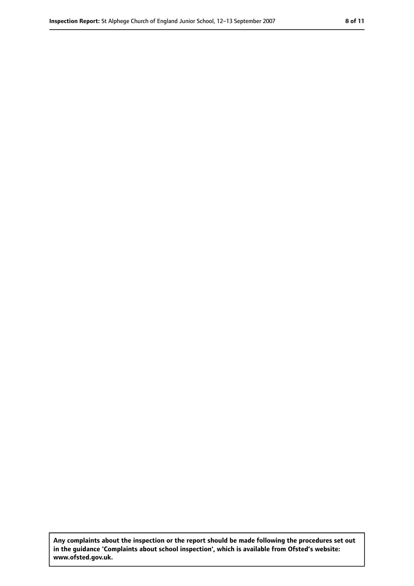**Any complaints about the inspection or the report should be made following the procedures set out in the guidance 'Complaints about school inspection', which is available from Ofsted's website: www.ofsted.gov.uk.**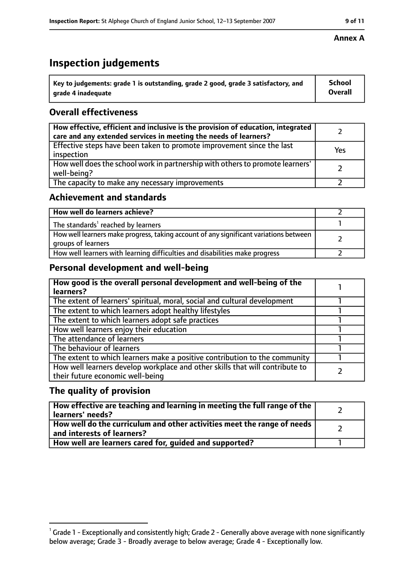# **Inspection judgements**

| $^{\backprime}$ Key to judgements: grade 1 is outstanding, grade 2 good, grade 3 satisfactory, and | <b>School</b>  |
|----------------------------------------------------------------------------------------------------|----------------|
| arade 4 inadeguate                                                                                 | <b>Overall</b> |

### **Overall effectiveness**

| How effective, efficient and inclusive is the provision of education, integrated<br>care and any extended services in meeting the needs of learners? |     |
|------------------------------------------------------------------------------------------------------------------------------------------------------|-----|
| Effective steps have been taken to promote improvement since the last<br>inspection                                                                  | Yes |
| How well does the school work in partnership with others to promote learners'<br>well-being?                                                         |     |
| The capacity to make any necessary improvements                                                                                                      |     |

### **Achievement and standards**

| How well do learners achieve?                                                                               |  |
|-------------------------------------------------------------------------------------------------------------|--|
| The standards <sup>1</sup> reached by learners                                                              |  |
| How well learners make progress, taking account of any significant variations between<br>groups of learners |  |
| How well learners with learning difficulties and disabilities make progress                                 |  |

### **Personal development and well-being**

| How good is the overall personal development and well-being of the<br>learners?                                  |  |
|------------------------------------------------------------------------------------------------------------------|--|
| The extent of learners' spiritual, moral, social and cultural development                                        |  |
| The extent to which learners adopt healthy lifestyles                                                            |  |
| The extent to which learners adopt safe practices                                                                |  |
| How well learners enjoy their education                                                                          |  |
| The attendance of learners                                                                                       |  |
| The behaviour of learners                                                                                        |  |
| The extent to which learners make a positive contribution to the community                                       |  |
| How well learners develop workplace and other skills that will contribute to<br>their future economic well-being |  |

### **The quality of provision**

| How effective are teaching and learning in meeting the full range of the<br>learners' needs?            |  |
|---------------------------------------------------------------------------------------------------------|--|
| How well do the curriculum and other activities meet the range of needs  <br>and interests of learners? |  |
| How well are learners cared for, guided and supported?                                                  |  |

#### **Annex A**

 $^1$  Grade 1 - Exceptionally and consistently high; Grade 2 - Generally above average with none significantly below average; Grade 3 - Broadly average to below average; Grade 4 - Exceptionally low.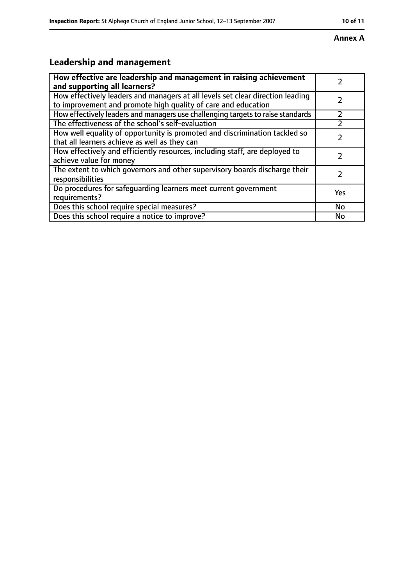# **Annex A**

# **Leadership and management**

| How effective are leadership and management in raising achievement<br>and supporting all learners?                                              |     |
|-------------------------------------------------------------------------------------------------------------------------------------------------|-----|
| How effectively leaders and managers at all levels set clear direction leading<br>to improvement and promote high quality of care and education |     |
| How effectively leaders and managers use challenging targets to raise standards                                                                 |     |
| The effectiveness of the school's self-evaluation                                                                                               |     |
| How well equality of opportunity is promoted and discrimination tackled so<br>that all learners achieve as well as they can                     |     |
| How effectively and efficiently resources, including staff, are deployed to<br>achieve value for money                                          | 7   |
| The extent to which governors and other supervisory boards discharge their<br>responsibilities                                                  |     |
| Do procedures for safequarding learners meet current government<br>requirements?                                                                | Yes |
| Does this school require special measures?                                                                                                      | No  |
| Does this school require a notice to improve?                                                                                                   | No  |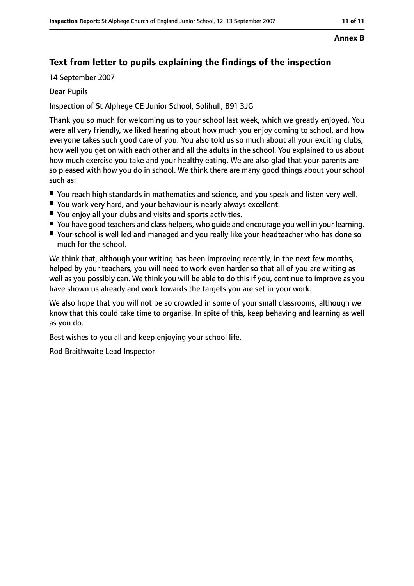#### **Annex B**

### **Text from letter to pupils explaining the findings of the inspection**

14 September 2007

#### Dear Pupils

Inspection of St Alphege CE Junior School, Solihull, B91 3JG

Thank you so much for welcoming us to your school last week, which we greatly enjoyed. You were all very friendly, we liked hearing about how much you enjoy coming to school, and how everyone takes such good care of you. You also told us so much about all your exciting clubs, how well you get on with each other and all the adults in the school. You explained to us about how much exercise you take and your healthy eating. We are also glad that your parents are so pleased with how you do in school. We think there are many good things about your school such as:

- You reach high standards in mathematics and science, and you speak and listen very well.
- You work very hard, and your behaviour is nearly always excellent.
- You enjoy all your clubs and visits and sports activities.
- You have good teachers and class helpers, who quide and encourage you well in your learning.
- Your school is well led and managed and you really like your headteacher who has done so much for the school.

We think that, although your writing has been improving recently, in the next few months, helped by your teachers, you will need to work even harder so that all of you are writing as well as you possibly can. We think you will be able to do this if you, continue to improve as you have shown us already and work towards the targets you are set in your work.

We also hope that you will not be so crowded in some of your small classrooms, although we know that this could take time to organise. In spite of this, keep behaving and learning as well as you do.

Best wishes to you all and keep enjoying your school life.

Rod Braithwaite Lead Inspector